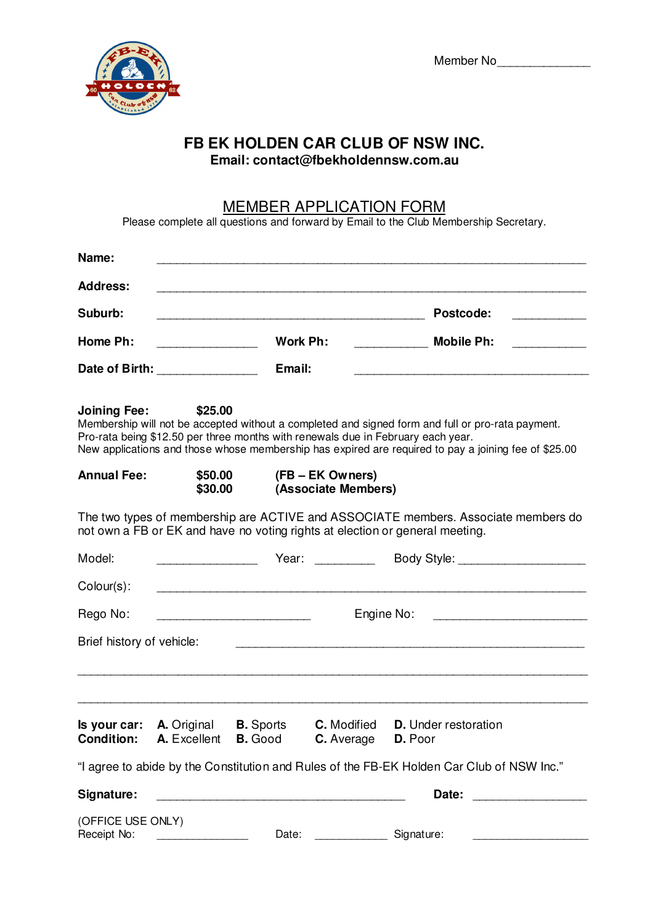Member No<sub>\_\_\_\_\_\_\_\_\_\_\_\_\_\_\_\_\_\_\_\_\_</sub>



## **FB EK HOLDEN CAR CLUB OF NSW INC. Email: contact@fbekholdennsw.com.au**

## MEMBER APPLICATION FORM

Please complete all questions and forward by Email to the Club Membership Secretary.

| Name:                                                                                                                                                                                                                                                                                                                           |                                                                                            |          |                                                                                                                                                                                                                                |                                                                                                                           |  |  |  |  |
|---------------------------------------------------------------------------------------------------------------------------------------------------------------------------------------------------------------------------------------------------------------------------------------------------------------------------------|--------------------------------------------------------------------------------------------|----------|--------------------------------------------------------------------------------------------------------------------------------------------------------------------------------------------------------------------------------|---------------------------------------------------------------------------------------------------------------------------|--|--|--|--|
| <b>Address:</b>                                                                                                                                                                                                                                                                                                                 |                                                                                            |          |                                                                                                                                                                                                                                |                                                                                                                           |  |  |  |  |
| Suburb:<br>and the control of the control of the control of the control of the control of the control of the control of the                                                                                                                                                                                                     |                                                                                            |          |                                                                                                                                                                                                                                | Postcode:<br><u> 1989 - Johann Barnett, fransk konge</u>                                                                  |  |  |  |  |
| Home Ph:<br><u> 1990 - Johann Barbara, martin a</u>                                                                                                                                                                                                                                                                             |                                                                                            | Work Ph: |                                                                                                                                                                                                                                | <b>Mobile Ph:</b><br>$\frac{1}{2} \left( \frac{1}{2} \right)^2 \left( \frac{1}{2} \right)^2 \left( \frac{1}{2} \right)^2$ |  |  |  |  |
| Date of Birth: ________________                                                                                                                                                                                                                                                                                                 |                                                                                            | Email:   |                                                                                                                                                                                                                                |                                                                                                                           |  |  |  |  |
| <b>Joining Fee:</b><br>\$25.00<br>Membership will not be accepted without a completed and signed form and full or pro-rata payment.<br>Pro-rata being \$12.50 per three months with renewals due in February each year.<br>New applications and those whose membership has expired are required to pay a joining fee of \$25.00 |                                                                                            |          |                                                                                                                                                                                                                                |                                                                                                                           |  |  |  |  |
| <b>Annual Fee:</b><br>\$50.00<br>\$30.00                                                                                                                                                                                                                                                                                        |                                                                                            |          | (FB – EK Owners)<br>(Associate Members)                                                                                                                                                                                        |                                                                                                                           |  |  |  |  |
| The two types of membership are ACTIVE and ASSOCIATE members. Associate members do<br>not own a FB or EK and have no voting rights at election or general meeting.                                                                                                                                                              |                                                                                            |          |                                                                                                                                                                                                                                |                                                                                                                           |  |  |  |  |
| Model:                                                                                                                                                                                                                                                                                                                          |                                                                                            |          | Year: The Contract of the Contract of the Contract of the Contract of the Contract of the Contract of the Contract of the Contract of the Contract of the Contract of the Contract of the Contract of the Contract of the Cont | Body Style: <b>Example 2014</b>                                                                                           |  |  |  |  |
| $Colour(s)$ :                                                                                                                                                                                                                                                                                                                   |                                                                                            |          |                                                                                                                                                                                                                                | <u> 1111 - 1223 - 1234 - 1235 - 1236 - 1237 - 1238 - 1239 - 1230 - 1230 - 1230 - 1230 - 1230 - 1230 - 1230 - 123</u>      |  |  |  |  |
| Rego No:                                                                                                                                                                                                                                                                                                                        |                                                                                            |          |                                                                                                                                                                                                                                | Engine No:                                                                                                                |  |  |  |  |
| Brief history of vehicle:                                                                                                                                                                                                                                                                                                       |                                                                                            |          |                                                                                                                                                                                                                                |                                                                                                                           |  |  |  |  |
|                                                                                                                                                                                                                                                                                                                                 |                                                                                            |          |                                                                                                                                                                                                                                |                                                                                                                           |  |  |  |  |
|                                                                                                                                                                                                                                                                                                                                 | <b>Is your car: A.</b> Original <b>B.</b> Sports<br><b>Condition: A. Excellent B. Good</b> |          | <b>C.</b> Modified<br><b>C.</b> Average <b>D.</b> Poor                                                                                                                                                                         | <b>D.</b> Under restoration                                                                                               |  |  |  |  |
| "I agree to abide by the Constitution and Rules of the FB-EK Holden Car Club of NSW Inc."                                                                                                                                                                                                                                       |                                                                                            |          |                                                                                                                                                                                                                                |                                                                                                                           |  |  |  |  |
| Signature:                                                                                                                                                                                                                                                                                                                      |                                                                                            |          |                                                                                                                                                                                                                                | Date:                                                                                                                     |  |  |  |  |
| (OFFICE USE ONLY)<br>Receipt No:                                                                                                                                                                                                                                                                                                |                                                                                            |          | Date: __________________ Signature:                                                                                                                                                                                            |                                                                                                                           |  |  |  |  |